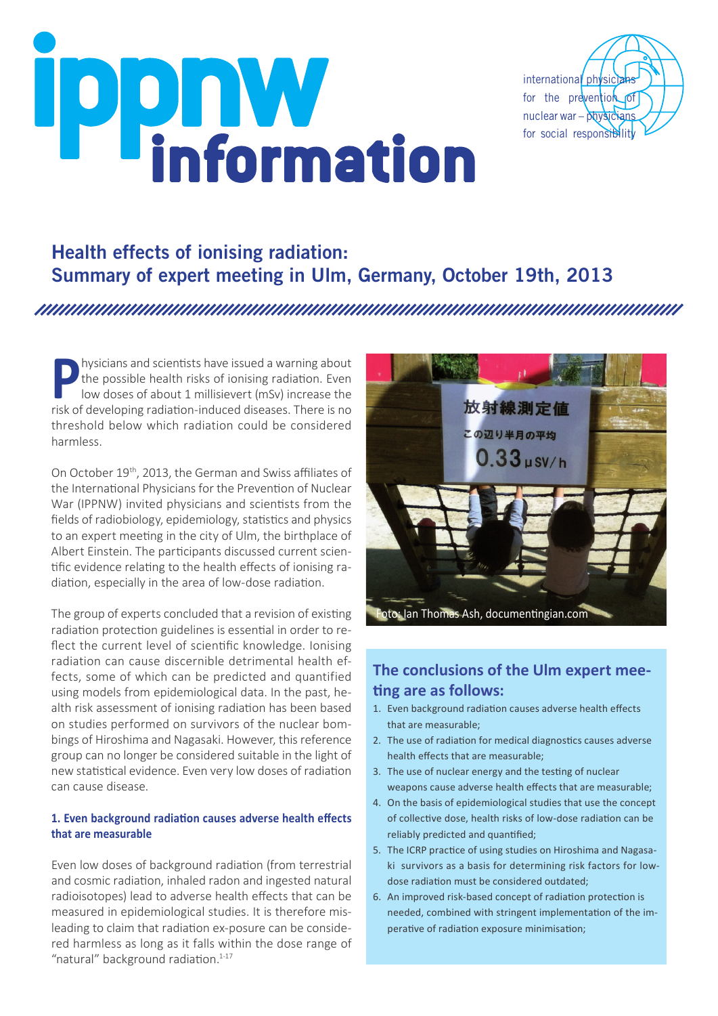# **ippnwinformation**



# Health effects of ionising radiation: Summary of expert meeting in Ulm, Germany, October 19th, 2013

**Physicians and scientists have issued a warning about<br>the possible health risks of ionising radiation. Even<br>low doses of about 1 millisievert (mSv) increase the<br>risk of developing radiation-induced diseases. There is no** the possible health risks of ionising radiation. Even low doses of about 1 millisievert (mSv) increase the risk of developing radiation-induced diseases. There is no threshold below which radiation could be considered harmless.

On October 19th, 2013, the German and Swiss affiliates of the International Physicians for the Prevention of Nuclear War (IPPNW) invited physicians and scientists from the fields of radiobiology, epidemiology, statistics and physics to an expert meeting in the city of Ulm, the birthplace of Albert Einstein. The participants discussed current scientific evidence relating to the health effects of ionising radiation, especially in the area of low-dose radiation.

The group of experts concluded that a revision of existing radiation protection guidelines is essential in order to reflect the current level of scientific knowledge. Ionising radiation can cause discernible detrimental health effects, some of which can be predicted and quantified using models from epidemiological data. In the past, health risk assessment of ionising radiation has been based on studies performed on survivors of the nuclear bombings of Hiroshima and Nagasaki. However, this reference group can no longer be considered suitable in the light of new statistical evidence. Even very low doses of radiation can cause disease.

### **1. Even background radiation causes adverse health effects that are measurable**

Even low doses of background radiation (from terrestrial and cosmic radiation, inhaled radon and ingested natural radioisotopes) lead to adverse health effects that can be measured in epidemiological studies. It is therefore misleading to claim that radiation ex-posure can be considered harmless as long as it falls within the dose range of "natural" background radiation. $1-17$ 



# **The conclusions of the Ulm expert meeting are as follows:**

- 1. Even background radiation causes adverse health effects that are measurable;
- 2. The use of radiation for medical diagnostics causes adverse health effects that are measurable;
- 3. The use of nuclear energy and the testing of nuclear weapons cause adverse health effects that are measurable;
- 4. On the basis of epidemiological studies that use the concept of collective dose, health risks of low-dose radiation can be reliably predicted and quantified;
- 5. The ICRP practice of using studies on Hiroshima and Nagasaki survivors as a basis for determining risk factors for lowdose radiation must be considered outdated;
- 6. An improved risk-based concept of radiation protection is needed, combined with stringent implementation of the imperative of radiation exposure minimisation;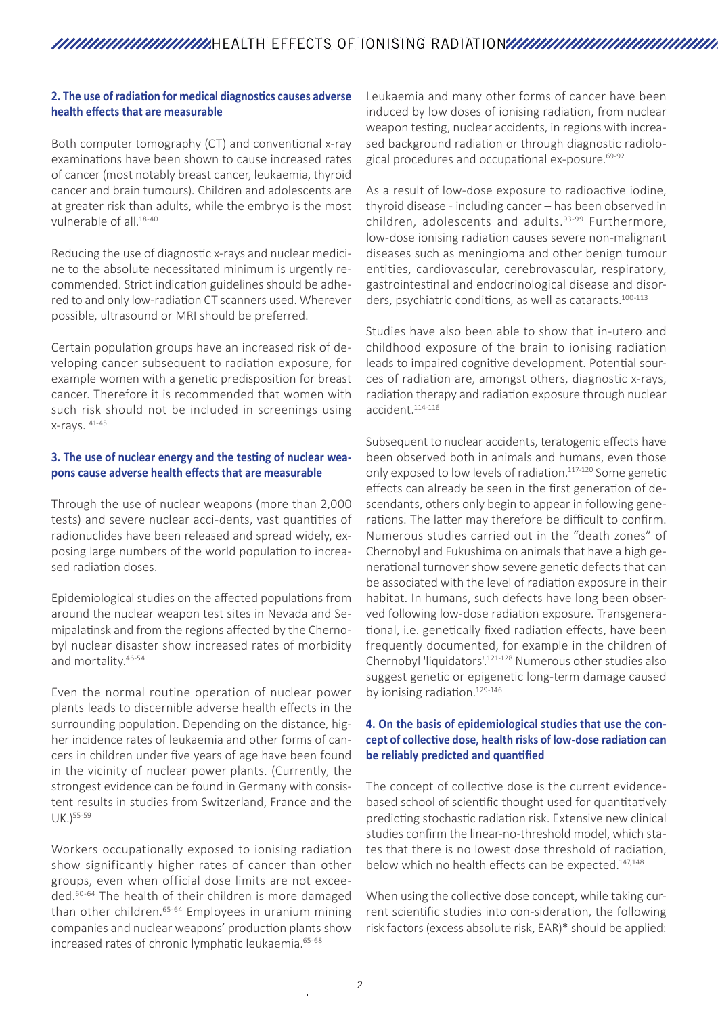### **2. The use of radiation for medical diagnostics causes adverse health effects that are measurable**

Both computer tomography (CT) and conventional x-ray examinations have been shown to cause increased rates of cancer (most notably breast cancer, leukaemia, thyroid cancer and brain tumours). Children and adolescents are at greater risk than adults, while the embryo is the most vulnerable of all.18-40

Reducing the use of diagnostic x-rays and nuclear medicine to the absolute necessitated minimum is urgently recommended. Strict indication guidelines should be adhered to and only low-radiation CT scanners used. Wherever possible, ultrasound or MRI should be preferred.

Certain population groups have an increased risk of developing cancer subsequent to radiation exposure, for example women with a genetic predisposition for breast cancer. Therefore it is recommended that women with such risk should not be included in screenings using x-rays. 41-45

### **3. The use of nuclear energy and the testing of nuclear weapons cause adverse health effects that are measurable**

Through the use of nuclear weapons (more than 2,000 tests) and severe nuclear acci-dents, vast quantities of radionuclides have been released and spread widely, exposing large numbers of the world population to increased radiation doses.

Epidemiological studies on the affected populations from around the nuclear weapon test sites in Nevada and Semipalatinsk and from the regions affected by the Chernobyl nuclear disaster show increased rates of morbidity and mortality.46-54

Even the normal routine operation of nuclear power plants leads to discernible adverse health effects in the surrounding population. Depending on the distance, higher incidence rates of leukaemia and other forms of cancers in children under five years of age have been found in the vicinity of nuclear power plants. (Currently, the strongest evidence can be found in Germany with consistent results in studies from Switzerland, France and the UK.)55-59

Workers occupationally exposed to ionising radiation show significantly higher rates of cancer than other groups, even when official dose limits are not exceeded.60-64 The health of their children is more damaged than other children.<sup>65-64</sup> Employees in uranium mining companies and nuclear weapons' production plants show increased rates of chronic lymphatic leukaemia.<sup>65-68</sup>

Leukaemia and many other forms of cancer have been induced by low doses of ionising radiation, from nuclear weapon testing, nuclear accidents, in regions with increased background radiation or through diagnostic radiological procedures and occupational ex-posure.<sup>69-92</sup>

As a result of low-dose exposure to radioactive iodine, thyroid disease - including cancer – has been observed in children, adolescents and adults.<sup>93-99</sup> Furthermore, low-dose ionising radiation causes severe non-malignant diseases such as meningioma and other benign tumour entities, cardiovascular, cerebrovascular, respiratory, gastrointestinal and endocrinological disease and disorders, psychiatric conditions, as well as cataracts.<sup>100-113</sup>

Studies have also been able to show that in-utero and childhood exposure of the brain to ionising radiation leads to impaired cognitive development. Potential sources of radiation are, amongst others, diagnostic x-rays, radiation therapy and radiation exposure through nuclear accident.114-116

Subsequent to nuclear accidents, teratogenic effects have been observed both in animals and humans, even those only exposed to low levels of radiation.<sup>117-120</sup> Some genetic effects can already be seen in the first generation of descendants, others only begin to appear in following generations. The latter may therefore be difficult to confirm. Numerous studies carried out in the "death zones" of Chernobyl and Fukushima on animals that have a high generational turnover show severe genetic defects that can be associated with the level of radiation exposure in their habitat. In humans, such defects have long been observed following low-dose radiation exposure. Transgenerational, i.e. genetically fixed radiation effects, have been frequently documented, for example in the children of Chernobyl 'liquidators'.121-128 Numerous other studies also suggest genetic or epigenetic long-term damage caused by ionising radiation.<sup>129-146</sup>

### **4. On the basis of epidemiological studies that use the concept of collective dose, health risks of low-dose radiation can be reliably predicted and quantified**

The concept of collective dose is the current evidencebased school of scientific thought used for quantitatively predicting stochastic radiation risk. Extensive new clinical studies confirm the linear-no-threshold model, which states that there is no lowest dose threshold of radiation, below which no health effects can be expected.<sup>147,148</sup>

When using the collective dose concept, while taking current scientific studies into con-sideration, the following risk factors (excess absolute risk, EAR)\* should be applied: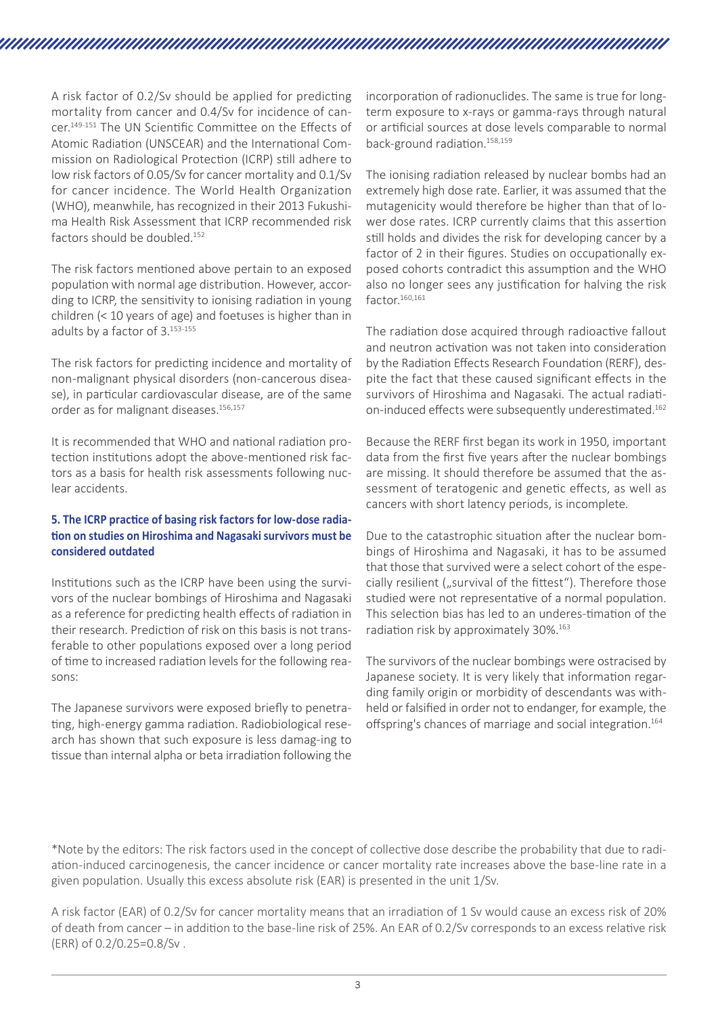A risk factor of 0.2/Sv should be applied for predicting mortality from cancer and 0.4/Sv for incidence of cancer.149-151 The UN Scientific Committee on the Effects of Atomic Radiation (UNSCEAR) and the International Commission on Radiological Protection (ICRP) still adhere to low risk factors of 0.05/Sv for cancer mortality and 0.1/Sv for cancer incidence. The World Health Organization (WHO), meanwhile, has recognized in their 2013 Fukushima Health Risk Assessment that ICRP recommended risk factors should be doubled.152

The risk factors mentioned above pertain to an exposed population with normal age distribution. However, according to ICRP, the sensitivity to ionising radiation in young children (< 10 years of age) and foetuses is higher than in adults by a factor of 3.153-155

The risk factors for predicting incidence and mortality of non-malignant physical disorders (non-cancerous disease), in particular cardiovascular disease, are of the same order as for malignant diseases.<sup>156,157</sup>

It is recommended that WHO and national radiation protection institutions adopt the above-mentioned risk factors as a basis for health risk assessments following nuclear accidents.

### **5. The ICRP practice of basing risk factors for low-dose radiation on studies on Hiroshima and Nagasaki survivors must be considered outdated**

Institutions such as the ICRP have been using the survivors of the nuclear bombings of Hiroshima and Nagasaki as a reference for predicting health effects of radiation in their research. Prediction of risk on this basis is not transferable to other populations exposed over a long period of time to increased radiation levels for the following reasons:

The Japanese survivors were exposed briefly to penetrating, high-energy gamma radiation. Radiobiological research has shown that such exposure is less damag-ing to tissue than internal alpha or beta irradiation following the

incorporation of radionuclides. The same is true for longterm exposure to x-rays or gamma-rays through natural or artificial sources at dose levels comparable to normal back-ground radiation.158,159

The ionising radiation released by nuclear bombs had an extremely high dose rate. Earlier, it was assumed that the mutagenicity would therefore be higher than that of lower dose rates. ICRP currently claims that this assertion still holds and divides the risk for developing cancer by a factor of 2 in their figures. Studies on occupationally exposed cohorts contradict this assumption and the WHO also no longer sees any justification for halving the risk factor.<sup>160,161</sup>

The radiation dose acquired through radioactive fallout and neutron activation was not taken into consideration by the Radiation Effects Research Foundation (RERF), despite the fact that these caused significant effects in the survivors of Hiroshima and Nagasaki. The actual radiation-induced effects were subsequently underestimated.<sup>162</sup>

Because the RERF first began its work in 1950, important data from the first five years after the nuclear bombings are missing. It should therefore be assumed that the assessment of teratogenic and genetic effects, as well as cancers with short latency periods, is incomplete.

Due to the catastrophic situation after the nuclear bombings of Hiroshima and Nagasaki, it has to be assumed that those that survived were a select cohort of the especially resilient ("survival of the fittest"). Therefore those studied were not representative of a normal population. This selection bias has led to an underes-timation of the radiation risk by approximately 30%.163

The survivors of the nuclear bombings were ostracised by Japanese society. It is very likely that information regarding family origin or morbidity of descendants was withheld or falsified in order not to endanger, for example, the offspring's chances of marriage and social integration.<sup>164</sup>

\*Note by the editors: The risk factors used in the concept of collective dose describe the probability that due to radiation-induced carcinogenesis, the cancer incidence or cancer mortality rate increases above the base-line rate in a given population. Usually this excess absolute risk (EAR) is presented in the unit 1/Sv.

A risk factor (EAR) of 0.2/Sv for cancer mortality means that an irradiation of 1 Sv would cause an excess risk of 20% of death from cancer – in addition to the base-line risk of 25%. An EAR of 0.2/Sv corresponds to an excess relative risk (ERR) of 0.2/0.25=0.8/Sv .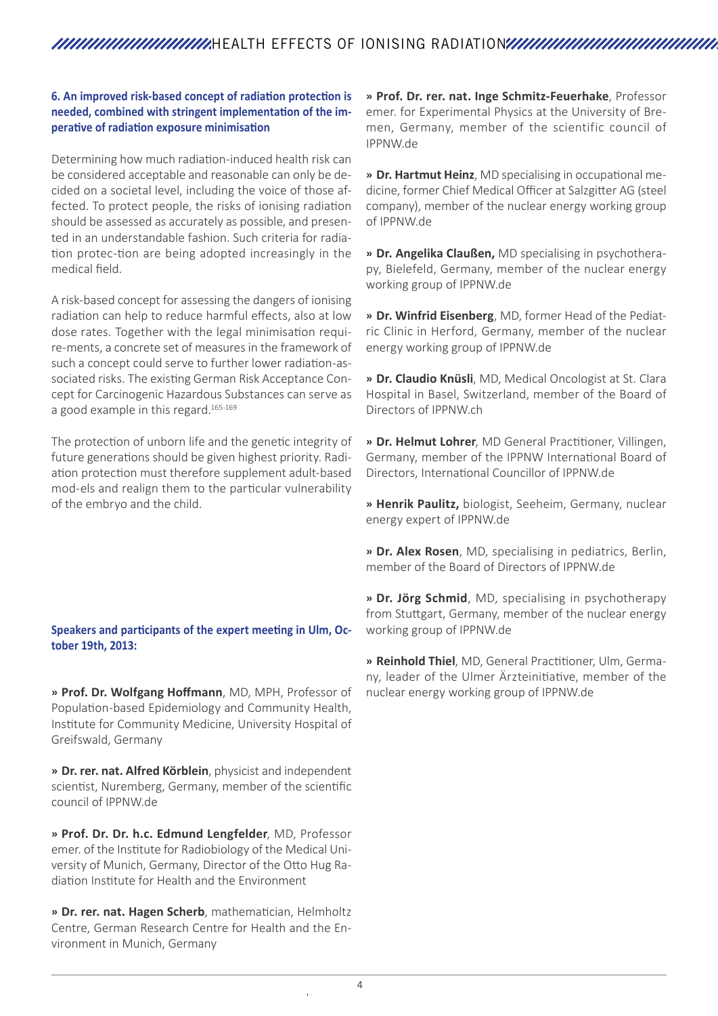### **6. An improved risk-based concept of radiation protection is needed, combined with stringent implementation of the imperative of radiation exposure minimisation**

Determining how much radiation-induced health risk can be considered acceptable and reasonable can only be decided on a societal level, including the voice of those affected. To protect people, the risks of ionising radiation should be assessed as accurately as possible, and presented in an understandable fashion. Such criteria for radiation protec-tion are being adopted increasingly in the medical field.

A risk-based concept for assessing the dangers of ionising radiation can help to reduce harmful effects, also at low dose rates. Together with the legal minimisation require-ments, a concrete set of measures in the framework of such a concept could serve to further lower radiation-associated risks. The existing German Risk Acceptance Concept for Carcinogenic Hazardous Substances can serve as a good example in this regard.<sup>165-169</sup>

The protection of unborn life and the genetic integrity of future generations should be given highest priority. Radiation protection must therefore supplement adult-based mod-els and realign them to the particular vulnerability of the embryo and the child.

### **Speakers and participants of the expert meeting in Ulm, October 19th, 2013:**

» **Prof. Dr. Wolfgang Hoffmann**, MD, MPH, Professor of Population-based Epidemiology and Community Health, Institute for Community Medicine, University Hospital of Greifswald, Germany

» **Dr. rer. nat. Alfred Körblein**, physicist and independent scientist, Nuremberg, Germany, member of the scientific council of IPPNW.de

» **Prof. Dr. Dr. h.c. Edmund Lengfelder**, MD, Professor emer. of the Institute for Radiobiology of the Medical University of Munich, Germany, Director of the Otto Hug Radiation Institute for Health and the Environment

» **Dr. rer. nat. Hagen Scherb**, mathematician, Helmholtz Centre, German Research Centre for Health and the Environment in Munich, Germany

» **Prof. Dr. rer. nat. Inge Schmitz-Feuerhake**, Professor emer. for Experimental Physics at the University of Bremen, Germany, member of the scientific council of IPPNW.de

» **Dr. Hartmut Heinz**, MD specialising in occupational medicine, former Chief Medical Officer at Salzgitter AG (steel company), member of the nuclear energy working group of IPPNW.de

» **Dr. Angelika Claußen,** MD specialising in psychotherapy, Bielefeld, Germany, member of the nuclear energy working group of IPPNW.de

» **Dr. Winfrid Eisenberg**, MD, former Head of the Pediatric Clinic in Herford, Germany, member of the nuclear energy working group of IPPNW.de

» **Dr. Claudio Knüsli**, MD, Medical Oncologist at St. Clara Hospital in Basel, Switzerland, member of the Board of Directors of IPPNW.ch

» **Dr. Helmut Lohrer**, MD General Practitioner, Villingen, Germany, member of the IPPNW International Board of Directors, International Councillor of IPPNW.de

» **Henrik Paulitz,** biologist, Seeheim, Germany, nuclear energy expert of IPPNW.de

» **Dr. Alex Rosen**, MD, specialising in pediatrics, Berlin, member of the Board of Directors of IPPNW.de

» **Dr. Jörg Schmid**, MD, specialising in psychotherapy from Stuttgart, Germany, member of the nuclear energy working group of IPPNW.de

» **Reinhold Thiel**, MD, General Practitioner, Ulm, Germany, leader of the Ulmer Ärzteinitiative, member of the nuclear energy working group of IPPNW.de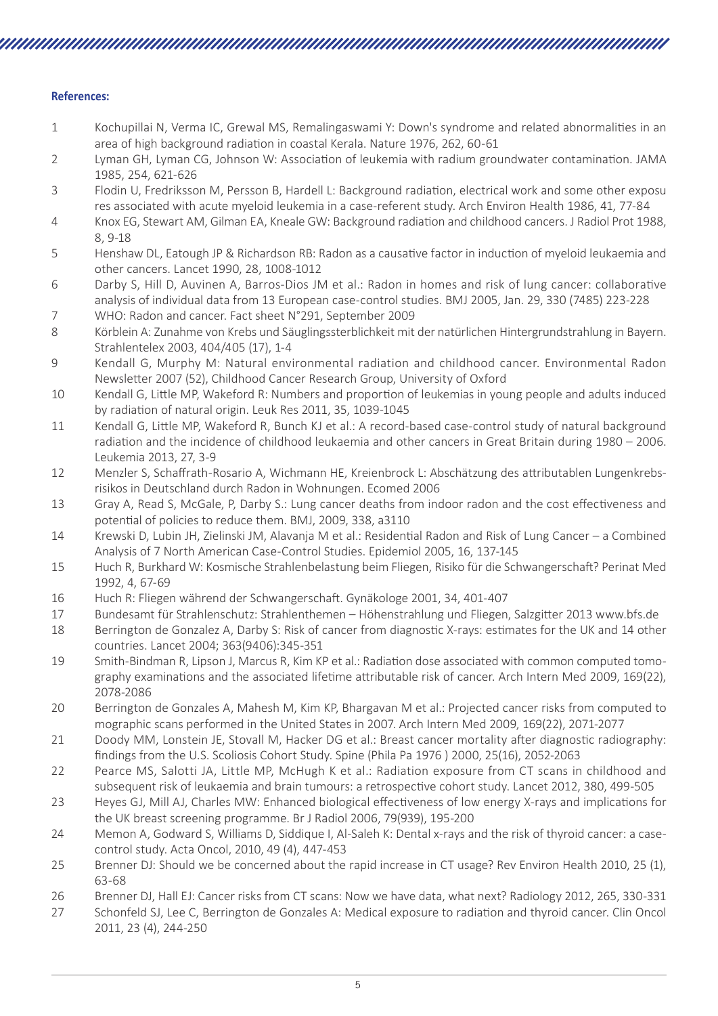### **References:**

1 Kochupillai N, Verma IC, Grewal MS, Remalingaswami Y: Down's syndrome and related abnormalities in an area of high background radiation in coastal Kerala. Nature 1976, 262, 60-61

- 2 Lyman GH, Lyman CG, Johnson W: Association of leukemia with radium groundwater contamination. JAMA 1985, 254, 621-626
- 3 Flodin U, Fredriksson M, Persson B, Hardell L: Background radiation, electrical work and some other exposu res associated with acute myeloid leukemia in a case-referent study. Arch Environ Health 1986, 41, 77-84
- 4 Knox EG, Stewart AM, Gilman EA, Kneale GW: Background radiation and childhood cancers. J Radiol Prot 1988, 8, 9-18
- 5 Henshaw DL, Eatough JP & Richardson RB: Radon as a causative factor in induction of myeloid leukaemia and other cancers. Lancet 1990, 28, 1008-1012
- 6 Darby S, Hill D, Auvinen A, Barros-Dios JM et al.: Radon in homes and risk of lung cancer: collaborative analysis of individual data from 13 European case-control studies. BMJ 2005, Jan. 29, 330 (7485) 223-228 7 WHO: Radon and cancer. Fact sheet N°291, September 2009
- 8 Körblein A: Zunahme von Krebs und Säuglingssterblichkeit mit der natürlichen Hintergrundstrahlung in Bayern. Strahlentelex 2003, 404/405 (17), 1-4
- 9 Kendall G, Murphy M: Natural environmental radiation and childhood cancer. Environmental Radon Newsletter 2007 (52), Childhood Cancer Research Group, University of Oxford
- 10 Kendall G, Little MP, Wakeford R: Numbers and proportion of leukemias in young people and adults induced by radiation of natural origin. Leuk Res 2011, 35, 1039-1045
- 11 Kendall G, Little MP, Wakeford R, Bunch KJ et al.: A record-based case-control study of natural background radiation and the incidence of childhood leukaemia and other cancers in Great Britain during 1980 – 2006. Leukemia 2013, 27, 3-9
- 12 Menzler S, Schaffrath-Rosario A, Wichmann HE, Kreienbrock L: Abschätzung des attributablen Lungenkrebsrisikos in Deutschland durch Radon in Wohnungen. Ecomed 2006
- 13 Gray A, Read S, McGale, P, Darby S.: Lung cancer deaths from indoor radon and the cost effectiveness and potential of policies to reduce them. BMJ, 2009, 338, a3110
- 14 Krewski D, Lubin JH, Zielinski JM, Alavanja M et al.: Residential Radon and Risk of Lung Cancer a Combined Analysis of 7 North American Case-Control Studies. Epidemiol 2005, 16, 137-145
- 15 Huch R, Burkhard W: Kosmische Strahlenbelastung beim Fliegen, Risiko für die Schwangerschaft? Perinat Med 1992, 4, 67-69
- 16 Huch R: Fliegen während der Schwangerschaft. Gynäkologe 2001, 34, 401-407
- 17 Bundesamt für Strahlenschutz: Strahlenthemen Höhenstrahlung und Fliegen, Salzgitter 2013 www.bfs.de
- 18 Berrington de Gonzalez A, Darby S: Risk of cancer from diagnostic X-rays: estimates for the UK and 14 other countries. Lancet 2004; 363(9406):345-351
- 19 Smith-Bindman R, Lipson J, Marcus R, Kim KP et al.: Radiation dose associated with common computed tomography examinations and the associated lifetime attributable risk of cancer. Arch Intern Med 2009, 169(22), 2078-2086
- 20 Berrington de Gonzales A, Mahesh M, Kim KP, Bhargavan M et al.: Projected cancer risks from computed to mographic scans performed in the United States in 2007. Arch Intern Med 2009, 169(22), 2071-2077
- 21 Doody MM, Lonstein JE, Stovall M, Hacker DG et al.: Breast cancer mortality after diagnostic radiography: findings from the U.S. Scoliosis Cohort Study. Spine (Phila Pa 1976 ) 2000, 25(16), 2052-2063
- 22 Pearce MS, Salotti JA, Little MP, McHugh K et al.: Radiation exposure from CT scans in childhood and subsequent risk of leukaemia and brain tumours: a retrospective cohort study. Lancet 2012, 380, 499-505
- 23 Heyes GJ, Mill AJ, Charles MW: Enhanced biological effectiveness of low energy X-rays and implications for the UK breast screening programme. Br J Radiol 2006, 79(939), 195-200
- 24 Memon A, Godward S, Williams D, Siddique I, Al-Saleh K: Dental x-rays and the risk of thyroid cancer: a casecontrol study. Acta Oncol, 2010, 49 (4), 447-453
- 25 Brenner DJ: Should we be concerned about the rapid increase in CT usage? Rev Environ Health 2010, 25 (1), 63-68
- 26 Brenner DJ, Hall EJ: Cancer risks from CT scans: Now we have data, what next? Radiology 2012, 265, 330-331
- 27 Schonfeld SJ, Lee C, Berrington de Gonzales A: Medical exposure to radiation and thyroid cancer. Clin Oncol 2011, 23 (4), 244-250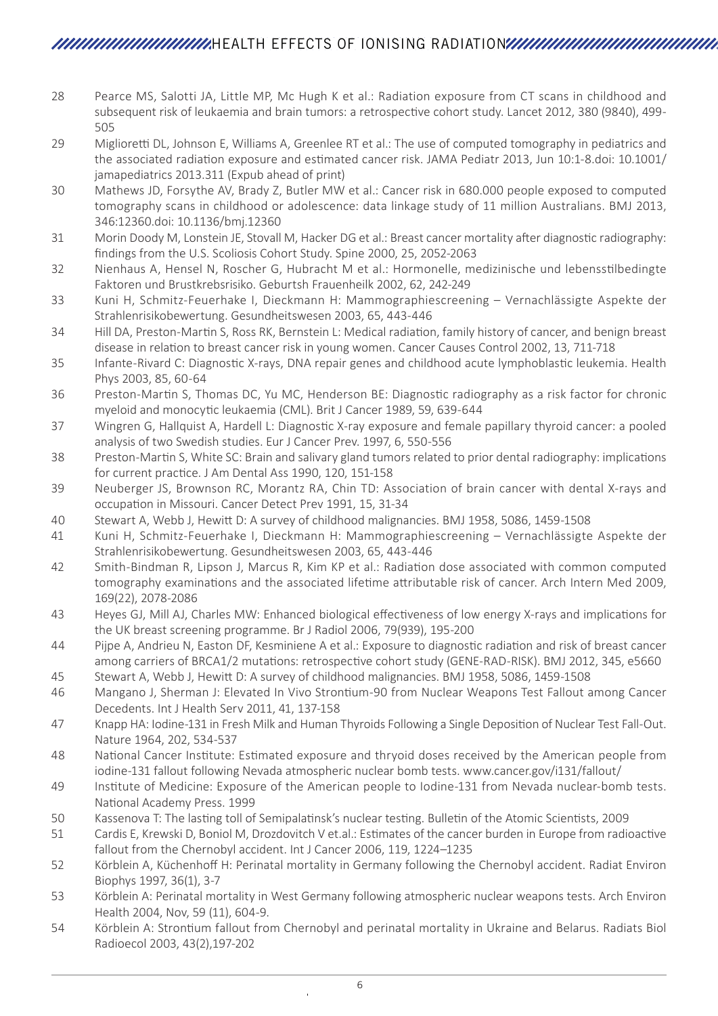# HEALTH EFFECTS OF IONISING RADIATION

- 28 Pearce MS, Salotti JA, Little MP, Mc Hugh K et al.: Radiation exposure from CT scans in childhood and subsequent risk of leukaemia and brain tumors: a retrospective cohort study. Lancet 2012, 380 (9840), 499- 505
- 29 Miglioretti DL, Johnson E, Williams A, Greenlee RT et al.: The use of computed tomography in pediatrics and the associated radiation exposure and estimated cancer risk. JAMA Pediatr 2013, Jun 10:1-8.doi: 10.1001/ jamapediatrics 2013.311 (Expub ahead of print)
- 30 Mathews JD, Forsythe AV, Brady Z, Butler MW et al.: Cancer risk in 680.000 people exposed to computed tomography scans in childhood or adolescence: data linkage study of 11 million Australians. BMJ 2013, 346:12360.doi: 10.1136/bmj.12360
- 31 Morin Doody M, Lonstein JE, Stovall M, Hacker DG et al.: Breast cancer mortality after diagnostic radiography: findings from the U.S. Scoliosis Cohort Study. Spine 2000, 25, 2052-2063
- 32 Nienhaus A, Hensel N, Roscher G, Hubracht M et al.: Hormonelle, medizinische und lebensstilbedingte Faktoren und Brustkrebsrisiko. Geburtsh Frauenheilk 2002, 62, 242-249
- 33 Kuni H, Schmitz-Feuerhake I, Dieckmann H: Mammographiescreening Vernachlässigte Aspekte der Strahlenrisikobewertung. Gesundheitswesen 2003, 65, 443-446
- 34 Hill DA, Preston-Martin S, Ross RK, Bernstein L: Medical radiation, family history of cancer, and benign breast disease in relation to breast cancer risk in young women. Cancer Causes Control 2002, 13, 711-718
- 35 Infante-Rivard C: Diagnostic X-rays, DNA repair genes and childhood acute lymphoblastic leukemia. Health Phys 2003, 85, 60-64
- 36 Preston-Martin S, Thomas DC, Yu MC, Henderson BE: Diagnostic radiography as a risk factor for chronic myeloid and monocytic leukaemia (CML). Brit J Cancer 1989, 59, 639-644
- 37 Wingren G, Hallquist A, Hardell L: Diagnostic X-ray exposure and female papillary thyroid cancer: a pooled analysis of two Swedish studies. Eur J Cancer Prev. 1997, 6, 550-556
- 38 Preston-Martin S, White SC: Brain and salivary gland tumors related to prior dental radiography: implications for current practice. J Am Dental Ass 1990, 120, 151-158
- 39 Neuberger JS, Brownson RC, Morantz RA, Chin TD: Association of brain cancer with dental X-rays and occupation in Missouri. Cancer Detect Prev 1991, 15, 31-34
- 40 Stewart A, Webb J, Hewitt D: A survey of childhood malignancies. BMJ 1958, 5086, 1459-1508
- 41 Kuni H, Schmitz-Feuerhake I, Dieckmann H: Mammographiescreening Vernachlässigte Aspekte der Strahlenrisikobewertung. Gesundheitswesen 2003, 65, 443-446
- 42 Smith-Bindman R, Lipson J, Marcus R, Kim KP et al.: Radiation dose associated with common computed tomography examinations and the associated lifetime attributable risk of cancer. Arch Intern Med 2009, 169(22), 2078-2086
- 43 Heyes GJ, Mill AJ, Charles MW: Enhanced biological effectiveness of low energy X-rays and implications for the UK breast screening programme. Br J Radiol 2006, 79(939), 195-200
- 44 Pijpe A, Andrieu N, Easton DF, Kesminiene A et al.: Exposure to diagnostic radiation and risk of breast cancer among carriers of BRCA1/2 mutations: retrospective cohort study (GENE-RAD-RISK). BMJ 2012, 345, e5660
- 45 Stewart A, Webb J, Hewitt D: A survey of childhood malignancies. BMJ 1958, 5086, 1459-1508
- 46 Mangano J, Sherman J: Elevated In Vivo Strontium-90 from Nuclear Weapons Test Fallout among Cancer Decedents. Int J Health Serv 2011, 41, 137-158
- 47 Knapp HA: Iodine-131 in Fresh Milk and Human Thyroids Following a Single Deposition of Nuclear Test Fall-Out. Nature 1964, 202, 534-537
- 48 National Cancer Institute: Estimated exposure and thryoid doses received by the American people from iodine-131 fallout following Nevada atmospheric nuclear bomb tests. www.cancer.gov/i131/fallout/
- 49 Institute of Medicine: Exposure of the American people to Iodine-131 from Nevada nuclear-bomb tests. National Academy Press. 1999
- 50 Kassenova T: The lasting toll of Semipalatinsk's nuclear testing. Bulletin of the Atomic Scientists, 2009
- 51 Cardis E, Krewski D, Boniol M, Drozdovitch V et.al.: Estimates of the cancer burden in Europe from radioactive fallout from the Chernobyl accident. Int J Cancer 2006, 119, 1224–1235
- 52 Körblein A, Küchenhoff H: Perinatal mortality in Germany following the Chernobyl accident. Radiat Environ Biophys 1997, 36(1), 3-7
- 53 Körblein A: Perinatal mortality in West Germany following atmospheric nuclear weapons tests. Arch Environ Health 2004, Nov, 59 (11), 604-9.
- 54 Körblein A: Strontium fallout from Chernobyl and perinatal mortality in Ukraine and Belarus. Radiats Biol Radioecol 2003, 43(2),197-202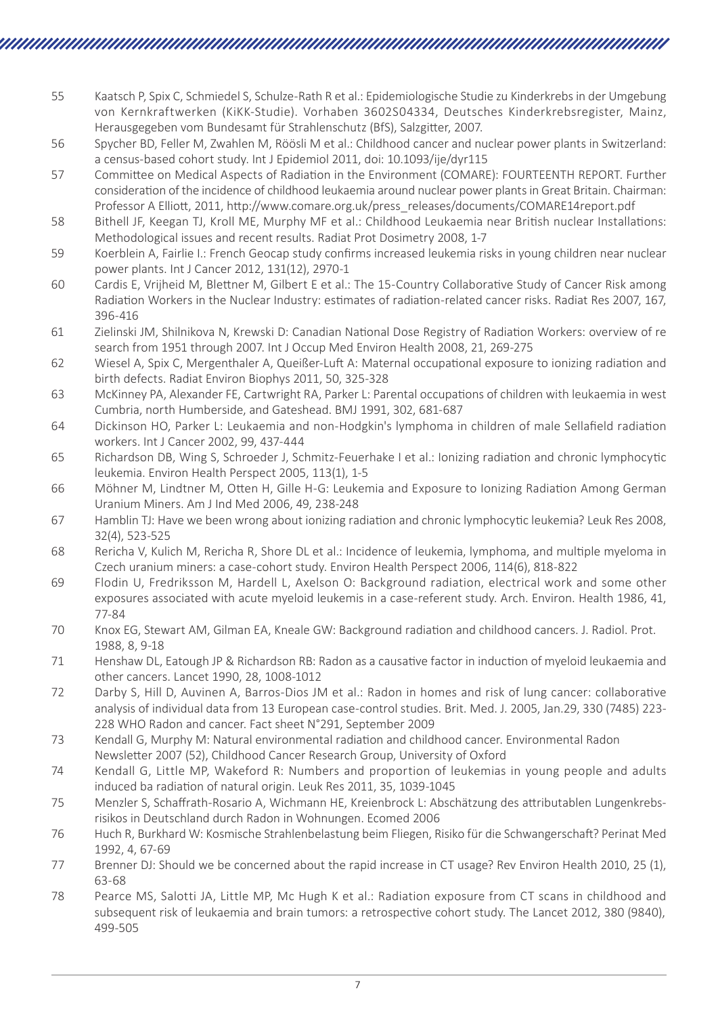- 55 Kaatsch P, Spix C, Schmiedel S, Schulze-Rath R et al.: Epidemiologische Studie zu Kinderkrebs in der Umgebung von Kernkraftwerken (KiKK-Studie). Vorhaben 3602S04334, Deutsches Kinderkrebsregister, Mainz, Herausgegeben vom Bundesamt für Strahlenschutz (BfS), Salzgitter, 2007.
- 56 Spycher BD, Feller M, Zwahlen M, Röösli M et al.: Childhood cancer and nuclear power plants in Switzerland: a census-based cohort study. Int J Epidemiol 2011, doi: 10.1093/ije/dyr115
- 57 Committee on Medical Aspects of Radiation in the Environment (COMARE): FOURTEENTH REPORT. Further consideration of the incidence of childhood leukaemia around nuclear power plants in Great Britain. Chairman: Professor A Elliott, 2011, http://www.comare.org.uk/press\_releases/documents/COMARE14report.pdf
- 58 Bithell JF, Keegan TJ, Kroll ME, Murphy MF et al.: Childhood Leukaemia near British nuclear Installations: Methodological issues and recent results. Radiat Prot Dosimetry 2008, 1-7
- 59 Koerblein A, Fairlie I.: French Geocap study confirms increased leukemia risks in young children near nuclear power plants. Int J Cancer 2012, 131(12), 2970-1
- 60 Cardis E, Vrijheid M, Blettner M, Gilbert E et al.: The 15-Country Collaborative Study of Cancer Risk among Radiation Workers in the Nuclear Industry: estimates of radiation-related cancer risks. Radiat Res 2007, 167, 396-416
- 61 Zielinski JM, Shilnikova N, Krewski D: Canadian National Dose Registry of Radiation Workers: overview of re search from 1951 through 2007. Int J Occup Med Environ Health 2008, 21, 269-275
- 62 Wiesel A, Spix C, Mergenthaler A, Queißer-Luft A: Maternal occupational exposure to ionizing radiation and birth defects. Radiat Environ Biophys 2011, 50, 325-328
- 63 McKinney PA, Alexander FE, Cartwright RA, Parker L: Parental occupations of children with leukaemia in west Cumbria, north Humberside, and Gateshead. BMJ 1991, 302, 681-687
- 64 Dickinson HO, Parker L: Leukaemia and non-Hodgkin's lymphoma in children of male Sellafield radiation workers. Int J Cancer 2002, 99, 437-444
- 65 Richardson DB, Wing S, Schroeder J, Schmitz-Feuerhake I et al.: Ionizing radiation and chronic lymphocytic leukemia. Environ Health Perspect 2005, 113(1), 1-5
- 66 Möhner M, Lindtner M, Otten H, Gille H-G: Leukemia and Exposure to Ionizing Radiation Among German Uranium Miners. Am J Ind Med 2006, 49, 238-248
- 67 Hamblin TJ: Have we been wrong about ionizing radiation and chronic lymphocytic leukemia? Leuk Res 2008, 32(4), 523-525
- 68 Rericha V, Kulich M, Rericha R, Shore DL et al.: Incidence of leukemia, lymphoma, and multiple myeloma in Czech uranium miners: a case-cohort study. Environ Health Perspect 2006, 114(6), 818-822
- 69 Flodin U, Fredriksson M, Hardell L, Axelson O: Background radiation, electrical work and some other exposures associated with acute myeloid leukemis in a case-referent study. Arch. Environ. Health 1986, 41, 77-84
- 70 Knox EG, Stewart AM, Gilman EA, Kneale GW: Background radiation and childhood cancers. J. Radiol. Prot. 1988, 8, 9-18
- 71 Henshaw DL, Eatough JP & Richardson RB: Radon as a causative factor in induction of myeloid leukaemia and other cancers. Lancet 1990, 28, 1008-1012
- 72 Darby S, Hill D, Auvinen A, Barros-Dios JM et al.: Radon in homes and risk of lung cancer: collaborative analysis of individual data from 13 European case-control studies. Brit. Med. J. 2005, Jan.29, 330 (7485) 223- 228 WHO Radon and cancer. Fact sheet N°291, September 2009
- 73 Kendall G, Murphy M: Natural environmental radiation and childhood cancer. Environmental Radon Newsletter 2007 (52), Childhood Cancer Research Group, University of Oxford
- 74 Kendall G, Little MP, Wakeford R: Numbers and proportion of leukemias in young people and adults induced ba radiation of natural origin. Leuk Res 2011, 35, 1039-1045
- 75 Menzler S, Schaffrath-Rosario A, Wichmann HE, Kreienbrock L: Abschätzung des attributablen Lungenkrebsrisikos in Deutschland durch Radon in Wohnungen. Ecomed 2006
- 76 Huch R, Burkhard W: Kosmische Strahlenbelastung beim Fliegen, Risiko für die Schwangerschaft? Perinat Med 1992, 4, 67-69
- 77 Brenner DJ: Should we be concerned about the rapid increase in CT usage? Rev Environ Health 2010, 25 (1), 63-68
- 78 Pearce MS, Salotti JA, Little MP, Mc Hugh K et al.: Radiation exposure from CT scans in childhood and subsequent risk of leukaemia and brain tumors: a retrospective cohort study. The Lancet 2012, 380 (9840), 499-505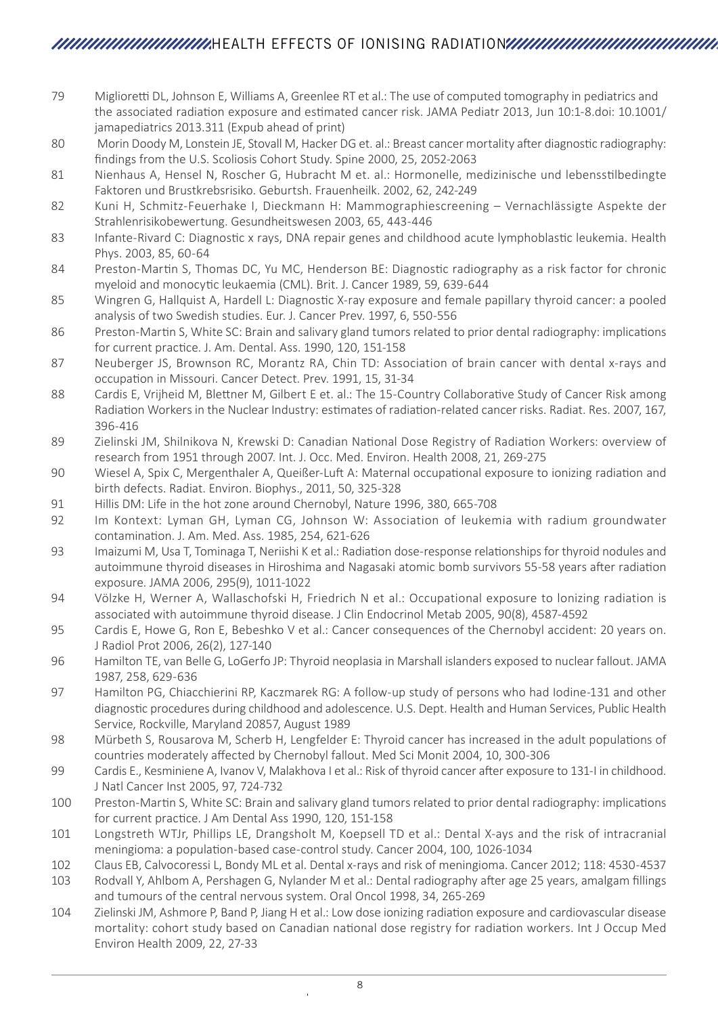- 79 Miglioretti DL, Johnson E, Williams A, Greenlee RT et al.: The use of computed tomography in pediatrics and the associated radiation exposure and estimated cancer risk. JAMA Pediatr 2013, Jun 10:1-8.doi: 10.1001/ jamapediatrics 2013.311 (Expub ahead of print)
- 80 Morin Doody M, Lonstein JE, Stovall M, Hacker DG et. al.: Breast cancer mortality after diagnostic radiography: findings from the U.S. Scoliosis Cohort Study. Spine 2000, 25, 2052-2063
- 81 Nienhaus A, Hensel N, Roscher G, Hubracht M et. al.: Hormonelle, medizinische und lebensstilbedingte Faktoren und Brustkrebsrisiko. Geburtsh. Frauenheilk. 2002, 62, 242-249
- 82 Kuni H, Schmitz-Feuerhake I, Dieckmann H: Mammographiescreening Vernachlässigte Aspekte der Strahlenrisikobewertung. Gesundheitswesen 2003, 65, 443-446
- 83 Infante-Rivard C: Diagnostic x rays, DNA repair genes and childhood acute lymphoblastic leukemia. Health Phys. 2003, 85, 60-64
- 84 Preston-Martin S, Thomas DC, Yu MC, Henderson BE: Diagnostic radiography as a risk factor for chronic myeloid and monocytic leukaemia (CML). Brit. J. Cancer 1989, 59, 639-644
- 85 Wingren G, Hallquist A, Hardell L: Diagnostic X-ray exposure and female papillary thyroid cancer: a pooled analysis of two Swedish studies. Eur. J. Cancer Prev. 1997, 6, 550-556
- 86 Preston-Martin S, White SC: Brain and salivary gland tumors related to prior dental radiography: implications for current practice. J. Am. Dental. Ass. 1990, 120, 151-158
- 87 Neuberger JS, Brownson RC, Morantz RA, Chin TD: Association of brain cancer with dental x-rays and occupation in Missouri. Cancer Detect. Prev. 1991, 15, 31-34
- 88 Cardis E, Vrijheid M, Blettner M, Gilbert E et. al.: The 15-Country Collaborative Study of Cancer Risk among Radiation Workers in the Nuclear Industry: estimates of radiation-related cancer risks. Radiat. Res. 2007, 167, 396-416
- 89 Zielinski JM, Shilnikova N, Krewski D: Canadian National Dose Registry of Radiation Workers: overview of research from 1951 through 2007. Int. J. Occ. Med. Environ. Health 2008, 21, 269-275
- 90 Wiesel A, Spix C, Mergenthaler A, Queißer-Luft A: Maternal occupational exposure to ionizing radiation and birth defects. Radiat. Environ. Biophys., 2011, 50, 325-328
- 91 Hillis DM: Life in the hot zone around Chernobyl, Nature 1996, 380, 665-708
- 92 Im Kontext: Lyman GH, Lyman CG, Johnson W: Association of leukemia with radium groundwater contamination. J. Am. Med. Ass. 1985, 254, 621-626
- 93 Imaizumi M, Usa T, Tominaga T, Neriishi K et al.: Radiation dose-response relationships for thyroid nodules and autoimmune thyroid diseases in Hiroshima and Nagasaki atomic bomb survivors 55-58 years after radiation exposure. JAMA 2006, 295(9), 1011-1022
- 94 Völzke H, Werner A, Wallaschofski H, Friedrich N et al.: Occupational exposure to lonizing radiation is associated with autoimmune thyroid disease. J Clin Endocrinol Metab 2005, 90(8), 4587-4592
- 95 Cardis E, Howe G, Ron E, Bebeshko V et al.: Cancer consequences of the Chernobyl accident: 20 years on. J Radiol Prot 2006, 26(2), 127-140
- 96 Hamilton TE, van Belle G, LoGerfo JP: Thyroid neoplasia in Marshall islanders exposed to nuclear fallout. JAMA 1987, 258, 629-636
- 97 Hamilton PG, Chiacchierini RP, Kaczmarek RG: A follow-up study of persons who had Iodine-131 and other diagnostic procedures during childhood and adolescence. U.S. Dept. Health and Human Services, Public Health Service, Rockville, Maryland 20857, August 1989
- 98 Mürbeth S, Rousarova M, Scherb H, Lengfelder E: Thyroid cancer has increased in the adult populations of countries moderately affected by Chernobyl fallout. Med Sci Monit 2004, 10, 300-306
- 99 Cardis E., Kesminiene A, Ivanov V, Malakhova I et al.: Risk of thyroid cancer after exposure to 131-I in childhood. J Natl Cancer Inst 2005, 97, 724-732
- 100 Preston-Martin S, White SC: Brain and salivary gland tumors related to prior dental radiography: implications for current practice. J Am Dental Ass 1990, 120, 151-158
- 101 Longstreth WTJr, Phillips LE, Drangsholt M, Koepsell TD et al.: Dental X-ays and the risk of intracranial meningioma: a population-based case-control study. Cancer 2004, 100, 1026-1034
- 102 Claus EB, Calvocoressi L, Bondy ML et al. Dental x-rays and risk of meningioma. Cancer 2012; 118: 4530-4537
- 103 Rodvall Y, Ahlbom A, Pershagen G, Nylander M et al.: Dental radiography after age 25 years, amalgam fillings and tumours of the central nervous system. Oral Oncol 1998, 34, 265-269
- 104 Zielinski JM, Ashmore P, Band P, Jiang H et al.: Low dose ionizing radiation exposure and cardiovascular disease mortality: cohort study based on Canadian national dose registry for radiation workers. Int J Occup Med Environ Health 2009, 22, 27-33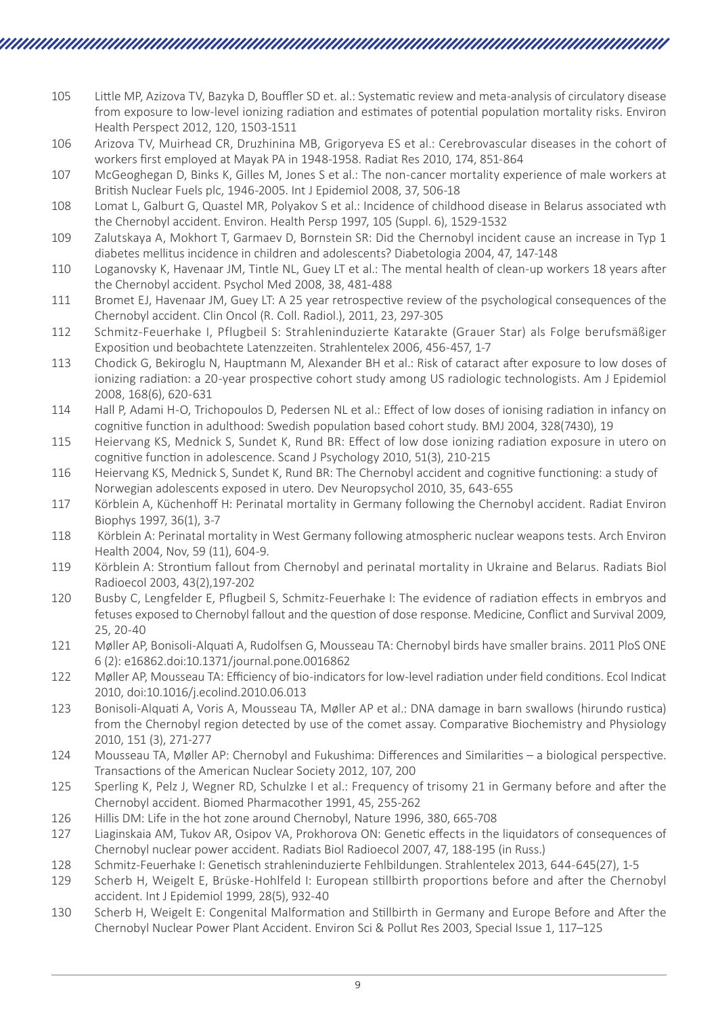- 105 Little MP, Azizova TV, Bazyka D, Bouffler SD et. al.: Systematic review and meta-analysis of circulatory disease from exposure to low-level ionizing radiation and estimates of potential population mortality risks. Environ Health Perspect 2012, 120, 1503-1511
- 106 Arizova TV, Muirhead CR, Druzhinina MB, Grigoryeva ES et al.: Cerebrovascular diseases in the cohort of workers first employed at Mayak PA in 1948-1958. Radiat Res 2010, 174, 851-864
- 107 McGeoghegan D, Binks K, Gilles M, Jones S et al.: The non-cancer mortality experience of male workers at British Nuclear Fuels plc, 1946-2005. Int J Epidemiol 2008, 37, 506-18
- 108 Lomat L, Galburt G, Quastel MR, Polyakov S et al.: Incidence of childhood disease in Belarus associated wth the Chernobyl accident. Environ. Health Persp 1997, 105 (Suppl. 6), 1529-1532
- 109 Zalutskaya A, Mokhort T, Garmaev D, Bornstein SR: Did the Chernobyl incident cause an increase in Typ 1 diabetes mellitus incidence in children and adolescents? Diabetologia 2004, 47, 147-148
- 110 Loganovsky K, Havenaar JM, Tintle NL, Guey LT et al.: The mental health of clean-up workers 18 years after the Chernobyl accident. Psychol Med 2008, 38, 481-488
- 111 Bromet EJ, Havenaar JM, Guey LT: A 25 year retrospective review of the psychological consequences of the Chernobyl accident. Clin Oncol (R. Coll. Radiol.), 2011, 23, 297-305
- 112 Schmitz-Feuerhake I, Pflugbeil S: Strahleninduzierte Katarakte (Grauer Star) als Folge berufsmäßiger Exposition und beobachtete Latenzzeiten. Strahlentelex 2006, 456-457, 1-7
- 113 Chodick G, Bekiroglu N, Hauptmann M, Alexander BH et al.: Risk of cataract after exposure to low doses of ionizing radiation: a 20-year prospective cohort study among US radiologic technologists. Am J Epidemiol 2008, 168(6), 620-631
- 114 Hall P, Adami H-O, Trichopoulos D, Pedersen NL et al.: Effect of low doses of ionising radiation in infancy on cognitive function in adulthood: Swedish population based cohort study. BMJ 2004, 328(7430), 19
- 115 Heiervang KS, Mednick S, Sundet K, Rund BR: Effect of low dose ionizing radiation exposure in utero on cognitive function in adolescence. Scand J Psychology 2010, 51(3), 210-215
- 116 Heiervang KS, Mednick S, Sundet K, Rund BR: The Chernobyl accident and cognitive functioning: a study of Norwegian adolescents exposed in utero. Dev Neuropsychol 2010, 35, 643-655
- 117 Körblein A, Küchenhoff H: Perinatal mortality in Germany following the Chernobyl accident. Radiat Environ Biophys 1997, 36(1), 3-7
- 118 Körblein A: Perinatal mortality in West Germany following atmospheric nuclear weapons tests. Arch Environ Health 2004, Nov, 59 (11), 604-9.
- 119 Körblein A: Strontium fallout from Chernobyl and perinatal mortality in Ukraine and Belarus. Radiats Biol Radioecol 2003, 43(2),197-202
- 120 Busby C, Lengfelder E, Pflugbeil S, Schmitz-Feuerhake I: The evidence of radiation effects in embryos and fetuses exposed to Chernobyl fallout and the question of dose response. Medicine, Conflict and Survival 2009, 25, 20-40
- 121 Møller AP, Bonisoli-Alquati A, Rudolfsen G, Mousseau TA: Chernobyl birds have smaller brains. 2011 PloS ONE 6 (2): e16862.doi:10.1371/journal.pone.0016862
- 122 Møller AP, Mousseau TA: Efficiency of bio-indicators for low-level radiation under field conditions. Ecol Indicat 2010, doi:10.1016/j.ecolind.2010.06.013
- 123 Bonisoli-Alquati A, Voris A, Mousseau TA, Møller AP et al.: DNA damage in barn swallows (hirundo rustica) from the Chernobyl region detected by use of the comet assay. Comparative Biochemistry and Physiology 2010, 151 (3), 271-277
- 124 Mousseau TA, Møller AP: Chernobyl and Fukushima: Differences and Similarities a biological perspective. Transactions of the American Nuclear Society 2012, 107, 200
- 125 Sperling K, Pelz J, Wegner RD, Schulzke I et al.: Frequency of trisomy 21 in Germany before and after the Chernobyl accident. Biomed Pharmacother 1991, 45, 255-262
- 126 Hillis DM: Life in the hot zone around Chernobyl, Nature 1996, 380, 665-708
- 127 Liaginskaia AM, Tukov AR, Osipov VA, Prokhorova ON: Genetic effects in the liquidators of consequences of Chernobyl nuclear power accident. Radiats Biol Radioecol 2007, 47, 188-195 (in Russ.)
- 128 Schmitz-Feuerhake I: Genetisch strahleninduzierte Fehlbildungen. Strahlentelex 2013, 644-645(27), 1-5
- 129 Scherb H, Weigelt E, Brüske-Hohlfeld I: European stillbirth proportions before and after the Chernobyl accident. Int J Epidemiol 1999, 28(5), 932-40
- 130 Scherb H, Weigelt E: Congenital Malformation and Stillbirth in Germany and Europe Before and After the Chernobyl Nuclear Power Plant Accident. Environ Sci & Pollut Res 2003, Special Issue 1, 117–125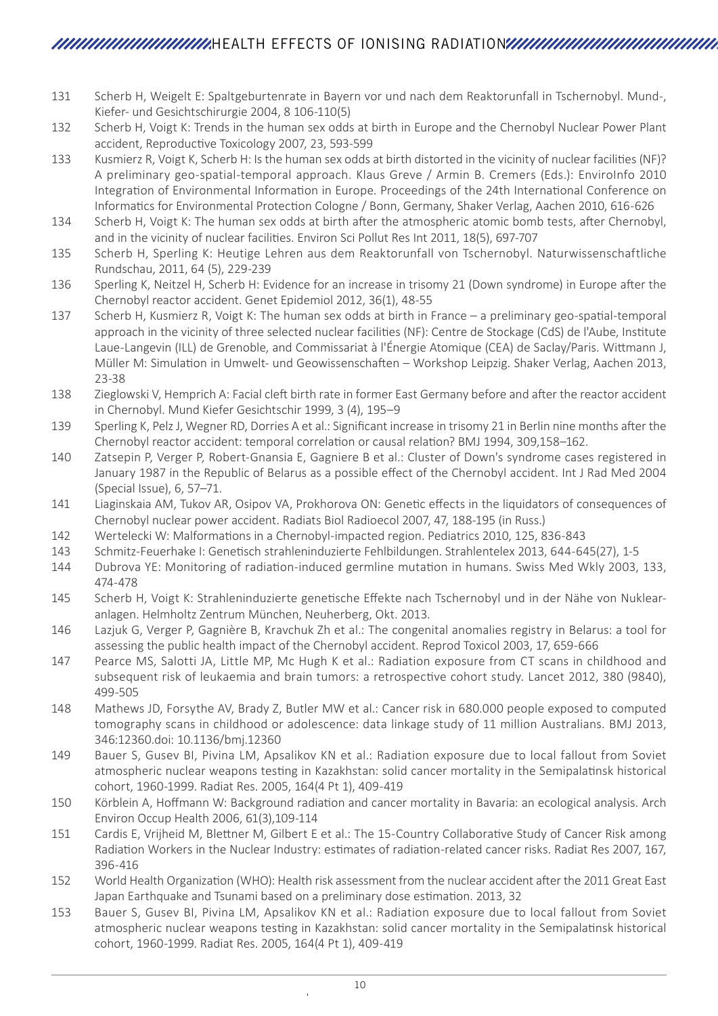# HEALTH EFFECTS OF IONISING RADIATION

- 131 Scherb H, Weigelt E: Spaltgeburtenrate in Bayern vor und nach dem Reaktorunfall in Tschernobyl. Mund-, Kiefer- und Gesichtschirurgie 2004, 8 106-110(5)
- 132 Scherb H, Voigt K: Trends in the human sex odds at birth in Europe and the Chernobyl Nuclear Power Plant accident, Reproductive Toxicology 2007, 23, 593-599
- 133 Kusmierz R, Voigt K, Scherb H: Is the human sex odds at birth distorted in the vicinity of nuclear facilities (NF)? A preliminary geo-spatial-temporal approach. Klaus Greve / Armin B. Cremers (Eds.): EnviroInfo 2010 Integration of Environmental Information in Europe. Proceedings of the 24th International Conference on Informatics for Environmental Protection Cologne / Bonn, Germany, Shaker Verlag, Aachen 2010, 616-626
- 134 Scherb H, Voigt K: The human sex odds at birth after the atmospheric atomic bomb tests, after Chernobyl, and in the vicinity of nuclear facilities. Environ Sci Pollut Res Int 2011, 18(5), 697-707
- 135 Scherb H, Sperling K: Heutige Lehren aus dem Reaktorunfall von Tschernobyl. Naturwissenschaftliche Rundschau, 2011, 64 (5), 229-239
- 136 Sperling K, Neitzel H, Scherb H: Evidence for an increase in trisomy 21 (Down syndrome) in Europe after the Chernobyl reactor accident. Genet Epidemiol 2012, 36(1), 48-55
- 137 Scherb H, Kusmierz R, Voigt K: The human sex odds at birth in France a preliminary geo-spatial-temporal approach in the vicinity of three selected nuclear facilities (NF): Centre de Stockage (CdS) de l'Aube, Institute Laue-Langevin (ILL) de Grenoble, and Commissariat à l'Énergie Atomique (CEA) de Saclay/Paris. Wittmann J, Müller M: Simulation in Umwelt- und Geowissenschaften – Workshop Leipzig. Shaker Verlag, Aachen 2013, 23-38
- 138 Zieglowski V, Hemprich A: Facial cleft birth rate in former East Germany before and after the reactor accident in Chernobyl. Mund Kiefer Gesichtschir 1999, 3 (4), 195–9
- 139 Sperling K, Pelz J, Wegner RD, Dorries A et al.: Significant increase in trisomy 21 in Berlin nine months after the Chernobyl reactor accident: temporal correlation or causal relation? BMJ 1994, 309,158–162.
- 140 Zatsepin P, Verger P, Robert-Gnansia E, Gagniere B et al.: Cluster of Down's syndrome cases registered in January 1987 in the Republic of Belarus as a possible effect of the Chernobyl accident. Int J Rad Med 2004 (Special Issue), 6, 57–71.
- 141 Liaginskaia AM, Tukov AR, Osipov VA, Prokhorova ON: Genetic effects in the liquidators of consequences of Chernobyl nuclear power accident. Radiats Biol Radioecol 2007, 47, 188-195 (in Russ.)
- 142 Wertelecki W: Malformations in a Chernobyl-impacted region. Pediatrics 2010, 125, 836-843
- 143 Schmitz-Feuerhake I: Genetisch strahleninduzierte Fehlbildungen. Strahlentelex 2013, 644-645(27), 1-5
- 144 Dubrova YE: Monitoring of radiation-induced germline mutation in humans. Swiss Med Wkly 2003, 133, 474-478
- 145 Scherb H, Voigt K: Strahleninduzierte genetische Effekte nach Tschernobyl und in der Nähe von Nuklearanlagen. Helmholtz Zentrum München, Neuherberg, Okt. 2013.
- 146 Lazjuk G, Verger P, Gagnière B, Kravchuk Zh et al.: The congenital anomalies registry in Belarus: a tool for assessing the public health impact of the Chernobyl accident. Reprod Toxicol 2003, 17, 659-666
- 147 Pearce MS, Salotti JA, Little MP, Mc Hugh K et al.: Radiation exposure from CT scans in childhood and subsequent risk of leukaemia and brain tumors: a retrospective cohort study. Lancet 2012, 380 (9840), 499-505
- 148 Mathews JD, Forsythe AV, Brady Z, Butler MW et al.: Cancer risk in 680.000 people exposed to computed tomography scans in childhood or adolescence: data linkage study of 11 million Australians. BMJ 2013, 346:12360.doi: 10.1136/bmj.12360
- 149 Bauer S, Gusev BI, Pivina LM, Apsalikov KN et al.: Radiation exposure due to local fallout from Soviet atmospheric nuclear weapons testing in Kazakhstan: solid cancer mortality in the Semipalatinsk historical cohort, 1960-1999. Radiat Res. 2005, 164(4 Pt 1), 409-419
- 150 Körblein A, Hoffmann W: Background radiation and cancer mortality in Bavaria: an ecological analysis. Arch Environ Occup Health 2006, 61(3),109-114
- 151 Cardis E, Vrijheid M, Blettner M, Gilbert E et al.: The 15-Country Collaborative Study of Cancer Risk among Radiation Workers in the Nuclear Industry: estimates of radiation-related cancer risks. Radiat Res 2007, 167, 396-416
- 152 World Health Organization (WHO): Health risk assessment from the nuclear accident after the 2011 Great East Japan Earthquake and Tsunami based on a preliminary dose estimation. 2013, 32
- 153 Bauer S, Gusev BI, Pivina LM, Apsalikov KN et al.: Radiation exposure due to local fallout from Soviet atmospheric nuclear weapons testing in Kazakhstan: solid cancer mortality in the Semipalatinsk historical cohort, 1960-1999. Radiat Res. 2005, 164(4 Pt 1), 409-419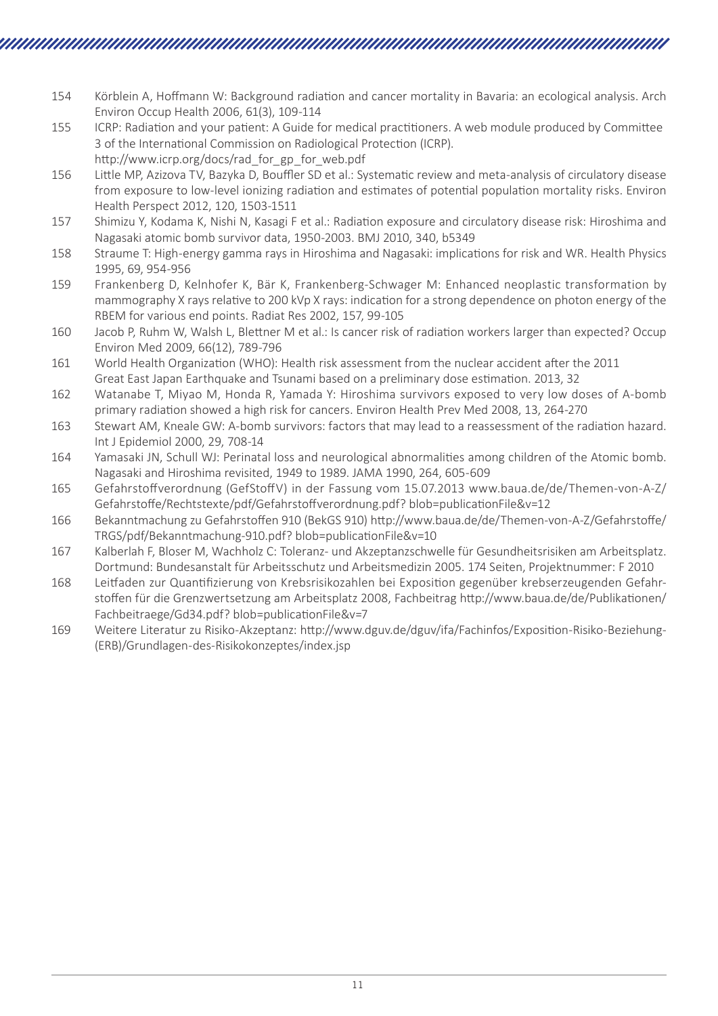- 154 Körblein A, Hoffmann W: Background radiation and cancer mortality in Bavaria: an ecological analysis. Arch Environ Occup Health 2006, 61(3), 109-114
- 155 ICRP: Radiation and your patient: A Guide for medical practitioners. A web module produced by Committee 3 of the International Commission on Radiological Protection (ICRP). http://www.icrp.org/docs/rad\_for\_gp\_for\_web.pdf
- 156 Little MP, Azizova TV, Bazyka D, Bouffler SD et al.: Systematic review and meta-analysis of circulatory disease from exposure to low-level ionizing radiation and estimates of potential population mortality risks. Environ Health Perspect 2012, 120, 1503-1511
- 157 Shimizu Y, Kodama K, Nishi N, Kasagi F et al.: Radiation exposure and circulatory disease risk: Hiroshima and Nagasaki atomic bomb survivor data, 1950-2003. BMJ 2010, 340, b5349
- 158 Straume T: High-energy gamma rays in Hiroshima and Nagasaki: implications for risk and WR. Health Physics 1995, 69, 954-956
- 159 Frankenberg D, Kelnhofer K, Bär K, Frankenberg-Schwager M: Enhanced neoplastic transformation by mammography X rays relative to 200 kVp X rays: indication for a strong dependence on photon energy of the RBEM for various end points. Radiat Res 2002, 157, 99-105
- 160 Jacob P, Ruhm W, Walsh L, Blettner M et al.: Is cancer risk of radiation workers larger than expected? Occup Environ Med 2009, 66(12), 789-796
- 161 World Health Organization (WHO): Health risk assessment from the nuclear accident after the 2011 Great East Japan Earthquake and Tsunami based on a preliminary dose estimation. 2013, 32
- 162 Watanabe T, Miyao M, Honda R, Yamada Y: Hiroshima survivors exposed to very low doses of A-bomb primary radiation showed a high risk for cancers. Environ Health Prev Med 2008, 13, 264-270
- 163 Stewart AM, Kneale GW: A-bomb survivors: factors that may lead to a reassessment of the radiation hazard. Int J Epidemiol 2000, 29, 708-14
- 164 Yamasaki JN, Schull WJ: Perinatal loss and neurological abnormalities among children of the Atomic bomb. Nagasaki and Hiroshima revisited, 1949 to 1989. JAMA 1990, 264, 605-609
- 165 Gefahrstoffverordnung (GefStoffV) in der Fassung vom 15.07.2013 www.baua.de/de/Themen-von-A-Z/ Gefahrstoffe/Rechtstexte/pdf/Gefahrstoffverordnung.pdf? blob=publicationFile&v=12
- 166 Bekanntmachung zu Gefahrstoffen 910 (BekGS 910) http://www.baua.de/de/Themen-von-A-Z/Gefahrstoffe/ TRGS/pdf/Bekanntmachung-910.pdf? blob=publicationFile&v=10
- 167 Kalberlah F, Bloser M, Wachholz C: Toleranz- und Akzeptanzschwelle für Gesundheitsrisiken am Arbeitsplatz. Dortmund: Bundesanstalt für Arbeitsschutz und Arbeitsmedizin 2005. 174 Seiten, Projektnummer: F 2010
- 168 Leitfaden zur Quantifizierung von Krebsrisikozahlen bei Exposition gegenüber krebserzeugenden Gefahrstoffen für die Grenzwertsetzung am Arbeitsplatz 2008, Fachbeitrag http://www.baua.de/de/Publikationen/ Fachbeitraege/Gd34.pdf? blob=publicationFile&v=7
- 169 Weitere Literatur zu Risiko-Akzeptanz: http://www.dguv.de/dguv/ifa/Fachinfos/Exposition-Risiko-Beziehung- (ERB)/Grundlagen-des-Risikokonzeptes/index.jsp